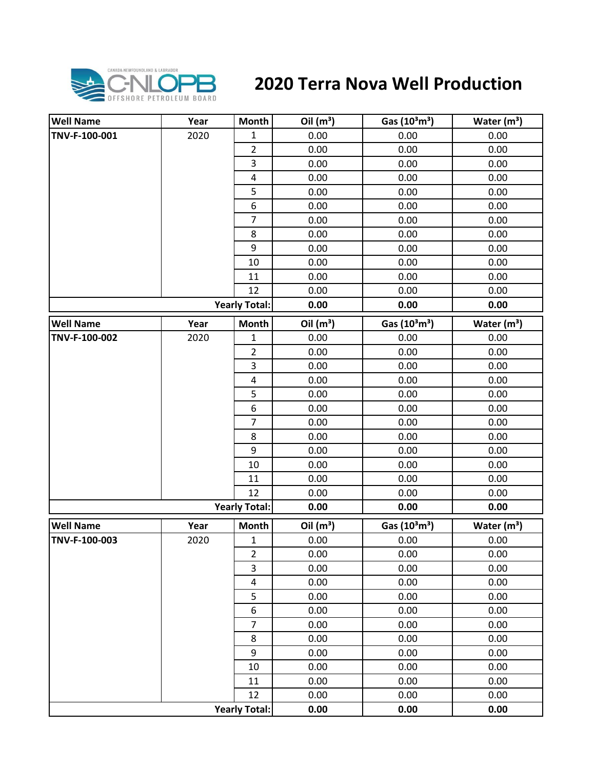

## **2020 Terra Nova Well Production**

| <b>Well Name</b> | Year | <b>Month</b>            | Oil $(m^3)$ | Gas $(10^3 \text{m}^3)$               | Water $(m^3)$           |
|------------------|------|-------------------------|-------------|---------------------------------------|-------------------------|
| TNV-F-100-001    | 2020 | 1                       | 0.00        | 0.00                                  | 0.00                    |
|                  |      | $\overline{2}$          | 0.00        | 0.00                                  | 0.00                    |
|                  |      | 3                       | 0.00        | 0.00                                  | 0.00                    |
|                  |      | $\overline{\mathbf{4}}$ | 0.00        | 0.00                                  | 0.00                    |
|                  |      | 5                       | 0.00        | 0.00                                  | 0.00                    |
|                  |      | 6                       | 0.00        | 0.00                                  | 0.00                    |
|                  |      | $\overline{7}$          | 0.00        | 0.00                                  | 0.00                    |
|                  |      | 8                       | 0.00        | 0.00                                  | 0.00                    |
|                  |      | 9                       | 0.00        | 0.00                                  | 0.00                    |
|                  |      | 10                      | 0.00        | 0.00                                  | 0.00                    |
|                  |      | 11                      | 0.00        | 0.00                                  | 0.00                    |
|                  |      | 12                      | 0.00        | 0.00                                  | 0.00                    |
|                  |      | <b>Yearly Total:</b>    | 0.00        | 0.00                                  | 0.00                    |
| <b>Well Name</b> | Year | <b>Month</b>            | Oil $(m^3)$ | Gas (10 <sup>3</sup> m <sup>3</sup> ) | Water $(m3)$            |
| TNV-F-100-002    | 2020 | $\mathbf 1$             | 0.00        | 0.00                                  | 0.00                    |
|                  |      | $\overline{2}$          | 0.00        | 0.00                                  | 0.00                    |
|                  |      | 3                       | 0.00        | 0.00                                  | 0.00                    |
|                  |      | 4                       | 0.00        | 0.00                                  | 0.00                    |
|                  |      | 5                       | 0.00        | 0.00                                  | 0.00                    |
|                  |      | 6                       | 0.00        | 0.00                                  | 0.00                    |
|                  |      | $\overline{7}$          | 0.00        | 0.00                                  | 0.00                    |
|                  |      | 8                       | 0.00        | 0.00                                  | 0.00                    |
|                  |      | 9                       | 0.00        | 0.00                                  | 0.00                    |
|                  |      | 10                      | 0.00        | 0.00                                  | 0.00                    |
|                  |      | 11                      | 0.00        | 0.00                                  | 0.00                    |
|                  |      | 12                      | 0.00        | 0.00                                  | 0.00                    |
|                  |      | <b>Yearly Total:</b>    | 0.00        | 0.00                                  | 0.00                    |
| <b>Well Name</b> | Year | <b>Month</b>            | Oil $(m^3)$ | Gas $(10^3 \text{m}^3)$               | Water (m <sup>3</sup> ) |
| TNV-F-100-003    | 2020 | $\mathbf{1}$            | 0.00        | 0.00                                  | 0.00                    |
|                  |      | $\overline{2}$          | 0.00        | 0.00                                  | 0.00                    |
|                  |      | 3                       | 0.00        | 0.00                                  | 0.00                    |
|                  |      | $\overline{4}$          | 0.00        | 0.00                                  | 0.00                    |
|                  |      | 5                       | 0.00        | 0.00                                  | 0.00                    |
|                  |      | 6                       | 0.00        | 0.00                                  | 0.00                    |
|                  |      | $\overline{7}$          | 0.00        | 0.00                                  | 0.00                    |
|                  |      | 8                       | 0.00        | 0.00                                  | 0.00                    |
|                  |      | 9                       | 0.00        | 0.00                                  | 0.00                    |
|                  |      | 10                      | 0.00        | 0.00                                  | 0.00                    |
|                  |      | 11                      | 0.00        | 0.00                                  | 0.00                    |
|                  |      | 12                      | 0.00        | 0.00                                  | 0.00                    |
|                  |      | <b>Yearly Total:</b>    | 0.00        | 0.00                                  | 0.00                    |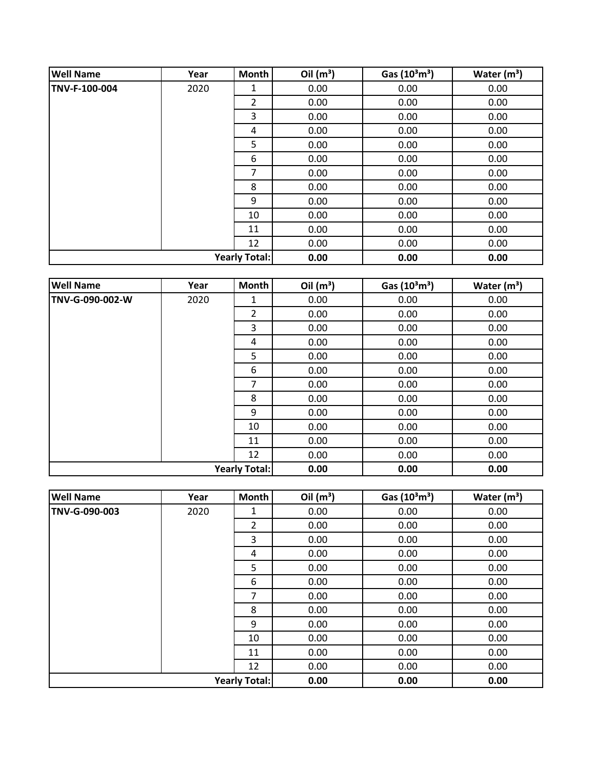| <b>Well Name</b> | Year | Month                | Oil $(m^3)$ | Gas $(10^3 \text{m}^3)$ | Water $(m3)$ |
|------------------|------|----------------------|-------------|-------------------------|--------------|
| TNV-F-100-004    | 2020 | 1                    | 0.00        | 0.00                    | 0.00         |
|                  |      | 2                    | 0.00        | 0.00                    | 0.00         |
|                  |      | 3                    | 0.00        | 0.00                    | 0.00         |
|                  |      | 4                    | 0.00        | 0.00                    | 0.00         |
|                  |      | 5                    | 0.00        | 0.00                    | 0.00         |
|                  |      | 6                    | 0.00        | 0.00                    | 0.00         |
|                  |      | 7                    | 0.00        | 0.00                    | 0.00         |
|                  |      | 8                    | 0.00        | 0.00                    | 0.00         |
|                  |      | 9                    | 0.00        | 0.00                    | 0.00         |
|                  |      | 10                   | 0.00        | 0.00                    | 0.00         |
|                  |      | 11                   | 0.00        | 0.00                    | 0.00         |
|                  |      | 12                   | 0.00        | 0.00                    | 0.00         |
|                  |      | <b>Yearly Total:</b> | 0.00        | 0.00                    | 0.00         |

| <b>Well Name</b> | Year | <b>Month</b>         | Oil $(m^3)$ | Gas (10 <sup>3</sup> m <sup>3</sup> ) | Water $(m3)$ |
|------------------|------|----------------------|-------------|---------------------------------------|--------------|
| TNV-G-090-002-W  | 2020 | 1                    | 0.00        | 0.00                                  | 0.00         |
|                  |      | $\overline{2}$       | 0.00        | 0.00                                  | 0.00         |
|                  |      | 3                    | 0.00        | 0.00                                  | 0.00         |
|                  |      | 4                    | 0.00        | 0.00                                  | 0.00         |
|                  |      | 5                    | 0.00        | 0.00                                  | 0.00         |
|                  |      | 6                    | 0.00        | 0.00                                  | 0.00         |
|                  |      | $\overline{7}$       | 0.00        | 0.00                                  | 0.00         |
|                  |      | 8                    | 0.00        | 0.00                                  | 0.00         |
|                  |      | 9                    | 0.00        | 0.00                                  | 0.00         |
|                  |      | 10                   | 0.00        | 0.00                                  | 0.00         |
|                  |      | 11                   | 0.00        | 0.00                                  | 0.00         |
|                  |      | 12                   | 0.00        | 0.00                                  | 0.00         |
|                  |      | <b>Yearly Total:</b> | 0.00        | 0.00                                  | 0.00         |

| <b>Well Name</b>     | Year | Month          | Oil $(m^3)$ | Gas $(10^3 \text{m}^3)$ | Water $(m^3)$ |
|----------------------|------|----------------|-------------|-------------------------|---------------|
| TNV-G-090-003        | 2020 | 1              | 0.00        | 0.00                    | 0.00          |
|                      |      | $\overline{2}$ | 0.00        | 0.00                    | 0.00          |
|                      |      | 3              | 0.00        | 0.00                    | 0.00          |
|                      |      | 4              | 0.00        | 0.00                    | 0.00          |
|                      |      | 5              | 0.00        | 0.00                    | 0.00          |
|                      |      | 6              | 0.00        | 0.00                    | 0.00          |
|                      |      | 7              | 0.00        | 0.00                    | 0.00          |
|                      |      | 8              | 0.00        | 0.00                    | 0.00          |
|                      |      | 9              | 0.00        | 0.00                    | 0.00          |
|                      |      | 10             | 0.00        | 0.00                    | 0.00          |
|                      |      | 11             | 0.00        | 0.00                    | 0.00          |
|                      |      | 12             | 0.00        | 0.00                    | 0.00          |
| <b>Yearly Total:</b> |      |                | 0.00        | 0.00                    | 0.00          |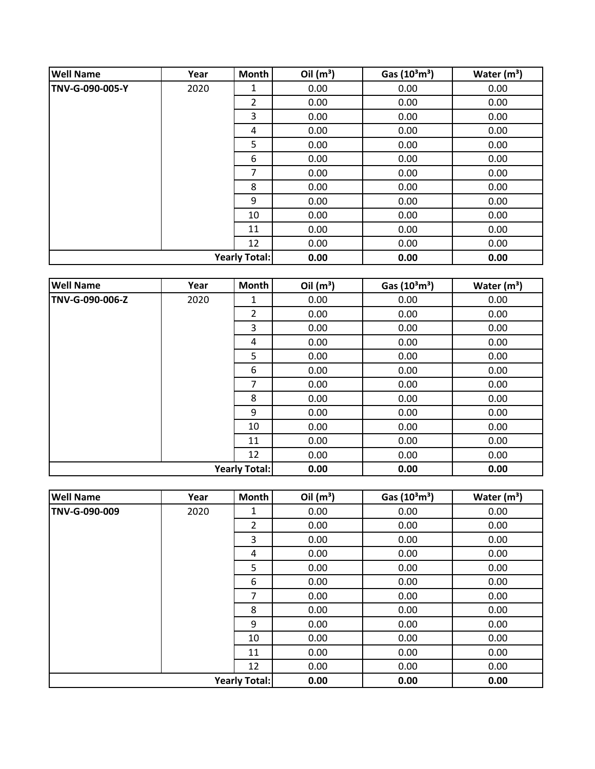| <b>Well Name</b> | Year | Month                | Oil $(m^3)$ | Gas $(10^3 \text{m}^3)$ | Water $(m3)$ |
|------------------|------|----------------------|-------------|-------------------------|--------------|
| TNV-G-090-005-Y  | 2020 | 1                    | 0.00        | 0.00                    | 0.00         |
|                  |      | $\overline{2}$       | 0.00        | 0.00                    | 0.00         |
|                  |      | 3                    | 0.00        | 0.00                    | 0.00         |
|                  |      | 4                    | 0.00        | 0.00                    | 0.00         |
|                  |      | 5                    | 0.00        | 0.00                    | 0.00         |
|                  |      | 6                    | 0.00        | 0.00                    | 0.00         |
|                  |      | 7                    | 0.00        | 0.00                    | 0.00         |
|                  |      | 8                    | 0.00        | 0.00                    | 0.00         |
|                  |      | 9                    | 0.00        | 0.00                    | 0.00         |
|                  |      | 10                   | 0.00        | 0.00                    | 0.00         |
|                  |      | 11                   | 0.00        | 0.00                    | 0.00         |
|                  |      | 12                   | 0.00        | 0.00                    | 0.00         |
|                  |      | <b>Yearly Total:</b> | 0.00        | 0.00                    | 0.00         |

| <b>Well Name</b>     | Year | Month | Oil $(m^3)$ | Gas (10 <sup>3</sup> m <sup>3</sup> ) | Water $(m^3)$ |
|----------------------|------|-------|-------------|---------------------------------------|---------------|
| TNV-G-090-006-Z      | 2020 | 1     | 0.00        | 0.00                                  | 0.00          |
|                      |      | 2     | 0.00        | 0.00                                  | 0.00          |
|                      |      | 3     | 0.00        | 0.00                                  | 0.00          |
|                      |      | 4     | 0.00        | 0.00                                  | 0.00          |
|                      |      | 5     | 0.00        | 0.00                                  | 0.00          |
|                      |      | 6     | 0.00        | 0.00                                  | 0.00          |
|                      |      | 7     | 0.00        | 0.00                                  | 0.00          |
|                      |      | 8     | 0.00        | 0.00                                  | 0.00          |
|                      |      | 9     | 0.00        | 0.00                                  | 0.00          |
|                      |      | 10    | 0.00        | 0.00                                  | 0.00          |
|                      |      | 11    | 0.00        | 0.00                                  | 0.00          |
|                      |      | 12    | 0.00        | 0.00                                  | 0.00          |
| <b>Yearly Total:</b> |      |       | 0.00        | 0.00                                  | 0.00          |

| <b>Well Name</b>     | Year | Month          | Oil $(m^3)$ | Gas $(10^3 \text{m}^3)$ | Water $(m^3)$ |
|----------------------|------|----------------|-------------|-------------------------|---------------|
| TNV-G-090-009        | 2020 | 1              | 0.00        | 0.00                    | 0.00          |
|                      |      | $\overline{2}$ | 0.00        | 0.00                    | 0.00          |
|                      |      | 3              | 0.00        | 0.00                    | 0.00          |
|                      |      | 4              | 0.00        | 0.00                    | 0.00          |
|                      |      | 5              | 0.00        | 0.00                    | 0.00          |
|                      |      | 6              | 0.00        | 0.00                    | 0.00          |
|                      |      | 7              | 0.00        | 0.00                    | 0.00          |
|                      |      | 8              | 0.00        | 0.00                    | 0.00          |
|                      |      | 9              | 0.00        | 0.00                    | 0.00          |
|                      |      | 10             | 0.00        | 0.00                    | 0.00          |
|                      |      | 11             | 0.00        | 0.00                    | 0.00          |
|                      |      | 12             | 0.00        | 0.00                    | 0.00          |
| <b>Yearly Total:</b> |      |                | 0.00        | 0.00                    | 0.00          |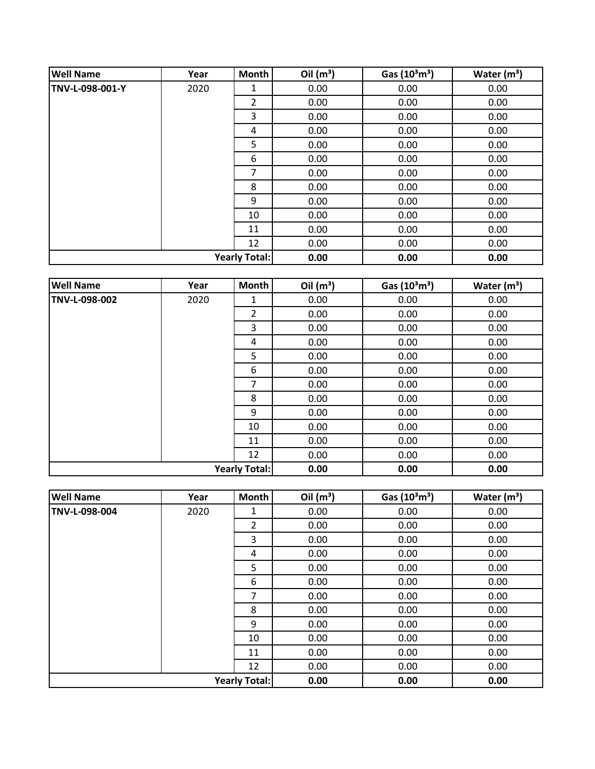| <b>Well Name</b>     | Year | Month          | Oil $(m^3)$ | Gas $(10^3 \text{m}^3)$ | Water $(m3)$ |
|----------------------|------|----------------|-------------|-------------------------|--------------|
| TNV-L-098-001-Y      | 2020 | 1              | 0.00        | 0.00                    | 0.00         |
|                      |      | $\overline{2}$ | 0.00        | 0.00                    | 0.00         |
|                      |      | 3              | 0.00        | 0.00                    | 0.00         |
|                      |      | 4              | 0.00        | 0.00                    | 0.00         |
|                      |      | 5              | 0.00        | 0.00                    | 0.00         |
|                      |      | 6              | 0.00        | 0.00                    | 0.00         |
|                      |      | 7              | 0.00        | 0.00                    | 0.00         |
|                      |      | 8              | 0.00        | 0.00                    | 0.00         |
|                      |      | 9              | 0.00        | 0.00                    | 0.00         |
|                      |      | 10             | 0.00        | 0.00                    | 0.00         |
|                      |      | 11             | 0.00        | 0.00                    | 0.00         |
|                      |      | 12             | 0.00        | 0.00                    | 0.00         |
| <b>Yearly Total:</b> |      | 0.00           | 0.00        | 0.00                    |              |

| <b>Well Name</b>     | Year | Month | Oil $(m^3)$ | Gas (10 <sup>3</sup> m <sup>3</sup> ) | Water $(m^3)$ |
|----------------------|------|-------|-------------|---------------------------------------|---------------|
| TNV-L-098-002        | 2020 | 1     | 0.00        | 0.00                                  | 0.00          |
|                      |      | 2     | 0.00        | 0.00                                  | 0.00          |
|                      |      | 3     | 0.00        | 0.00                                  | 0.00          |
|                      |      | 4     | 0.00        | 0.00                                  | 0.00          |
|                      |      | 5     | 0.00        | 0.00                                  | 0.00          |
|                      |      | 6     | 0.00        | 0.00                                  | 0.00          |
|                      |      | 7     | 0.00        | 0.00                                  | 0.00          |
|                      |      | 8     | 0.00        | 0.00                                  | 0.00          |
|                      |      | 9     | 0.00        | 0.00                                  | 0.00          |
|                      |      | 10    | 0.00        | 0.00                                  | 0.00          |
|                      |      | 11    | 0.00        | 0.00                                  | 0.00          |
|                      |      | 12    | 0.00        | 0.00                                  | 0.00          |
| <b>Yearly Total:</b> |      |       | 0.00        | 0.00                                  | 0.00          |

| <b>Well Name</b>     | Year | Month          | Oil $(m^3)$ | Gas $(10^3 \text{m}^3)$ | Water $(m^3)$ |
|----------------------|------|----------------|-------------|-------------------------|---------------|
| TNV-L-098-004        | 2020 | 1              | 0.00        | 0.00                    | 0.00          |
|                      |      | $\overline{2}$ | 0.00        | 0.00                    | 0.00          |
|                      |      | 3              | 0.00        | 0.00                    | 0.00          |
|                      |      | 4              | 0.00        | 0.00                    | 0.00          |
|                      |      | 5              | 0.00        | 0.00                    | 0.00          |
|                      |      | 6              | 0.00        | 0.00                    | 0.00          |
|                      |      | 7              | 0.00        | 0.00                    | 0.00          |
|                      |      | 8              | 0.00        | 0.00                    | 0.00          |
|                      |      | 9              | 0.00        | 0.00                    | 0.00          |
|                      |      | 10             | 0.00        | 0.00                    | 0.00          |
|                      |      | 11             | 0.00        | 0.00                    | 0.00          |
|                      |      | 12             | 0.00        | 0.00                    | 0.00          |
| <b>Yearly Total:</b> |      |                | 0.00        | 0.00                    | 0.00          |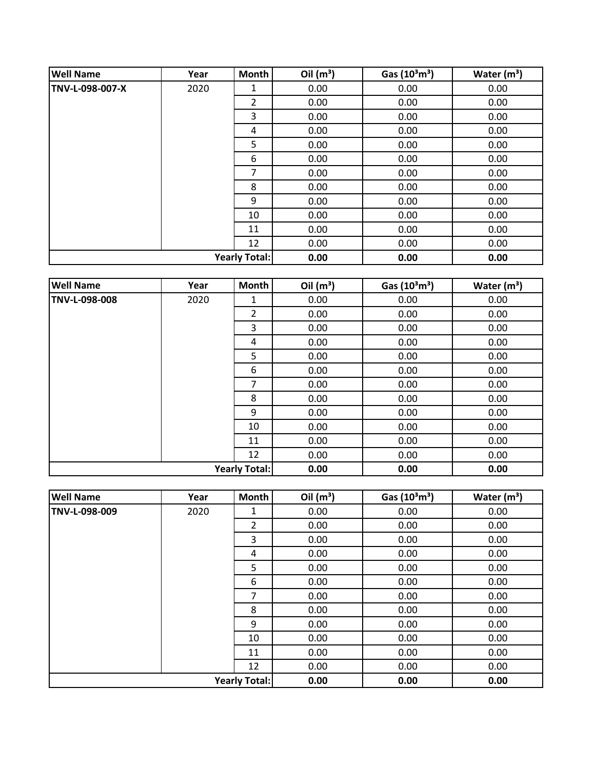| <b>Well Name</b> | Year | Month                | Oil $(m^3)$ | Gas $(10^3 \text{m}^3)$ | Water $(m3)$ |
|------------------|------|----------------------|-------------|-------------------------|--------------|
| TNV-L-098-007-X  | 2020 | 1                    | 0.00        | 0.00                    | 0.00         |
|                  |      | 2                    | 0.00        | 0.00                    | 0.00         |
|                  |      | 3                    | 0.00        | 0.00                    | 0.00         |
|                  |      | 4                    | 0.00        | 0.00                    | 0.00         |
|                  |      | 5                    | 0.00        | 0.00                    | 0.00         |
|                  |      | 6                    | 0.00        | 0.00                    | 0.00         |
|                  |      | 7                    | 0.00        | 0.00                    | 0.00         |
|                  |      | 8                    | 0.00        | 0.00                    | 0.00         |
|                  |      | 9                    | 0.00        | 0.00                    | 0.00         |
|                  |      | 10                   | 0.00        | 0.00                    | 0.00         |
|                  |      | 11                   | 0.00        | 0.00                    | 0.00         |
|                  |      | 12                   | 0.00        | 0.00                    | 0.00         |
|                  |      | <b>Yearly Total:</b> | 0.00        | 0.00                    | 0.00         |

| <b>Well Name</b>     | Year | Month | Oil $(m^3)$ | Gas (10 <sup>3</sup> m <sup>3</sup> ) | Water $(m^3)$ |
|----------------------|------|-------|-------------|---------------------------------------|---------------|
| TNV-L-098-008        | 2020 | 1     | 0.00        | 0.00                                  | 0.00          |
|                      |      | 2     | 0.00        | 0.00                                  | 0.00          |
|                      |      | 3     | 0.00        | 0.00                                  | 0.00          |
|                      |      | 4     | 0.00        | 0.00                                  | 0.00          |
|                      |      | 5     | 0.00        | 0.00                                  | 0.00          |
|                      |      | 6     | 0.00        | 0.00                                  | 0.00          |
|                      |      | 7     | 0.00        | 0.00                                  | 0.00          |
|                      |      | 8     | 0.00        | 0.00                                  | 0.00          |
|                      |      | 9     | 0.00        | 0.00                                  | 0.00          |
|                      |      | 10    | 0.00        | 0.00                                  | 0.00          |
|                      |      | 11    | 0.00        | 0.00                                  | 0.00          |
|                      |      | 12    | 0.00        | 0.00                                  | 0.00          |
| <b>Yearly Total:</b> |      |       | 0.00        | 0.00                                  | 0.00          |

| <b>Well Name</b>     | Year | Month          | Oil $(m^3)$ | Gas $(10^3 \text{m}^3)$ | Water $(m^3)$ |
|----------------------|------|----------------|-------------|-------------------------|---------------|
| TNV-L-098-009        | 2020 | 1              | 0.00        | 0.00                    | 0.00          |
|                      |      | $\overline{2}$ | 0.00        | 0.00                    | 0.00          |
|                      |      | 3              | 0.00        | 0.00                    | 0.00          |
|                      |      | 4              | 0.00        | 0.00                    | 0.00          |
|                      |      | 5              | 0.00        | 0.00                    | 0.00          |
|                      |      | 6              | 0.00        | 0.00                    | 0.00          |
|                      |      | 7              | 0.00        | 0.00                    | 0.00          |
|                      |      | 8              | 0.00        | 0.00                    | 0.00          |
|                      |      | 9              | 0.00        | 0.00                    | 0.00          |
|                      |      | 10             | 0.00        | 0.00                    | 0.00          |
|                      |      | 11             | 0.00        | 0.00                    | 0.00          |
|                      |      | 12             | 0.00        | 0.00                    | 0.00          |
| <b>Yearly Total:</b> |      |                | 0.00        | 0.00                    | 0.00          |